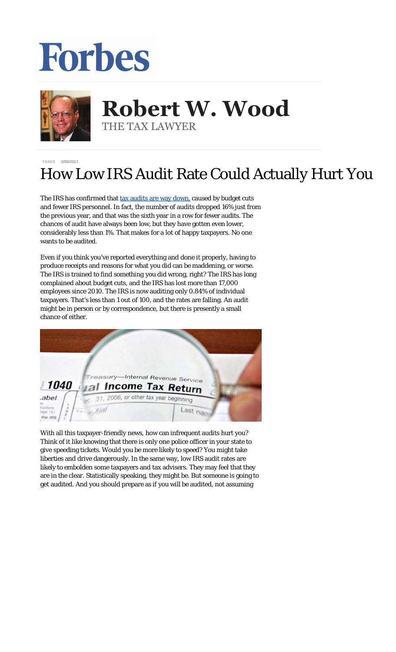## Forbes



## **Robert W. Wood Robert W. Wood** THE TAX LAWYER THE TAX LAWYER

**[TAXES](https://www.forbes.com/taxes)** 3/08/2017

## How Low IRS Audit Rate Could Actually Hurt You

The IRS has confirmed that [tax audits are way down,](https://www.washingtonpost.com/news/get-there/wp/2017/03/06/irs-audit-rates-are-down-but-dont-get-too-excited/) caused by budget cuts and fewer IRS personnel. In fact, the number of audits dropped 16% just from the previous year, and that was the sixth year in a row for fewer audits. The chances of audit have always been low, but they have gotten even lower, considerably less than 1%. That makes for a lot of happy taxpayers. No one wants to be audited.

Even if you think you've reported everything and done it properly, having to produce receipts and reasons for what you did can be maddening, or worse. The IRS is trained to find *something* you did wrong, right? The IRS has long complained about budget cuts, and the IRS has lost more than 17,000 employees since 2010. The IRS is now auditing only 0.84% of individual taxpayers. That's less than 1 out of 100, and the rates are falling. An audit might be in person or by correspondence, but there is presently a small chance of either.



With all this taxpayer-friendly news, how can infrequent audits hurt you? Think of it like knowing that there is only one police officer in your state to give speeding tickets. Would you be more likely to speed? You might take liberties and drive dangerously. In the same way, low IRS audit rates are likely to embolden some taxpayers and tax advisers. They may feel that they are in the clear. Statistically speaking, they might be. But *someone* is going to get audited. And you should prepare as if you will be audited, not assuming